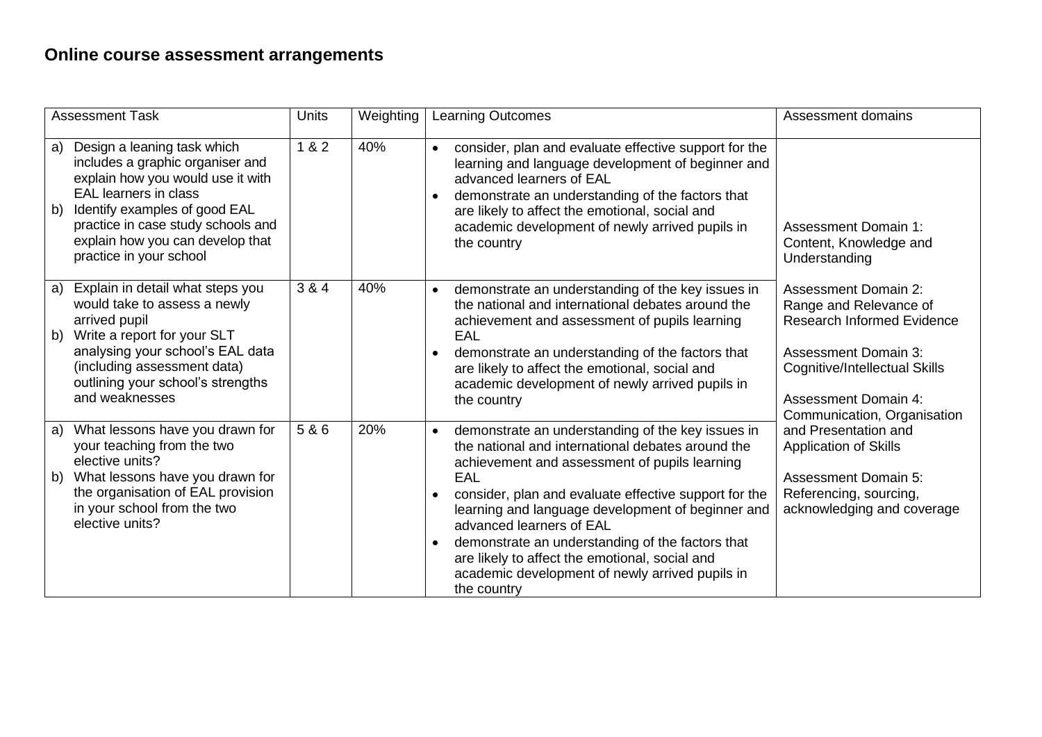| <b>Assessment Task</b> |                                                                                                                                                                                                                                                                            | <b>Units</b> | Weighting | <b>Learning Outcomes</b>                                                                                                                                                                                                                                                                                                                                                                                                                                                                      | Assessment domains                                                                                                                                                                                                       |  |
|------------------------|----------------------------------------------------------------------------------------------------------------------------------------------------------------------------------------------------------------------------------------------------------------------------|--------------|-----------|-----------------------------------------------------------------------------------------------------------------------------------------------------------------------------------------------------------------------------------------------------------------------------------------------------------------------------------------------------------------------------------------------------------------------------------------------------------------------------------------------|--------------------------------------------------------------------------------------------------------------------------------------------------------------------------------------------------------------------------|--|
| a)<br>b)               | Design a leaning task which<br>includes a graphic organiser and<br>explain how you would use it with<br><b>EAL</b> learners in class<br>Identify examples of good EAL<br>practice in case study schools and<br>explain how you can develop that<br>practice in your school | 1 & 2        | 40%       | consider, plan and evaluate effective support for the<br>$\bullet$<br>learning and language development of beginner and<br>advanced learners of EAL<br>demonstrate an understanding of the factors that<br>are likely to affect the emotional, social and<br>academic development of newly arrived pupils in<br>the country                                                                                                                                                                   | <b>Assessment Domain 1:</b><br>Content, Knowledge and<br>Understanding                                                                                                                                                   |  |
| a)<br>b)               | Explain in detail what steps you<br>would take to assess a newly<br>arrived pupil<br>Write a report for your SLT<br>analysing your school's EAL data<br>(including assessment data)<br>outlining your school's strengths<br>and weaknesses                                 | 3 & 4        | 40%       | demonstrate an understanding of the key issues in<br>$\bullet$<br>the national and international debates around the<br>achievement and assessment of pupils learning<br>EAL<br>demonstrate an understanding of the factors that<br>are likely to affect the emotional, social and<br>academic development of newly arrived pupils in<br>the country                                                                                                                                           | <b>Assessment Domain 2:</b><br>Range and Relevance of<br><b>Research Informed Evidence</b><br><b>Assessment Domain 3:</b><br>Cognitive/Intellectual Skills<br><b>Assessment Domain 4:</b><br>Communication, Organisation |  |
| a)<br>b)               | What lessons have you drawn for<br>your teaching from the two<br>elective units?<br>What lessons have you drawn for<br>the organisation of EAL provision<br>in your school from the two<br>elective units?                                                                 | 5 & 6        | 20%       | demonstrate an understanding of the key issues in<br>$\bullet$<br>the national and international debates around the<br>achievement and assessment of pupils learning<br>EAL<br>consider, plan and evaluate effective support for the<br>learning and language development of beginner and<br>advanced learners of EAL<br>demonstrate an understanding of the factors that<br>are likely to affect the emotional, social and<br>academic development of newly arrived pupils in<br>the country | and Presentation and<br><b>Application of Skills</b><br><b>Assessment Domain 5:</b><br>Referencing, sourcing,<br>acknowledging and coverage                                                                              |  |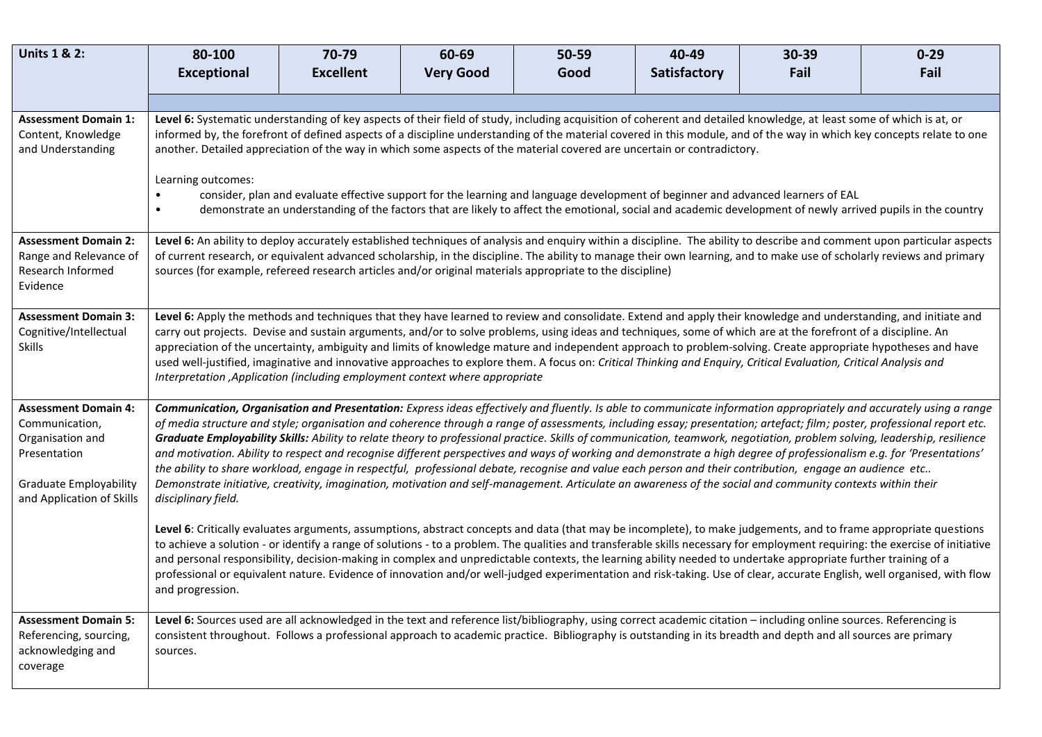| <b>Units 1 &amp; 2:</b>                                                                                                                                                                                                                                                                                                                                                                                                                                                                                                                                                                                                                                                                                                                                                                                                                                                                                                                                                                                                                                                                                                                                                                                   | 80-100                                                                                                                                                                                                                                                                                                                                                                                                                                                                                                                                                                                                                                                                                                                                                                                                                       | 70-79            | 60-69            | 50-59 | 40-49        | 30-39 | $0 - 29$ |
|-----------------------------------------------------------------------------------------------------------------------------------------------------------------------------------------------------------------------------------------------------------------------------------------------------------------------------------------------------------------------------------------------------------------------------------------------------------------------------------------------------------------------------------------------------------------------------------------------------------------------------------------------------------------------------------------------------------------------------------------------------------------------------------------------------------------------------------------------------------------------------------------------------------------------------------------------------------------------------------------------------------------------------------------------------------------------------------------------------------------------------------------------------------------------------------------------------------|------------------------------------------------------------------------------------------------------------------------------------------------------------------------------------------------------------------------------------------------------------------------------------------------------------------------------------------------------------------------------------------------------------------------------------------------------------------------------------------------------------------------------------------------------------------------------------------------------------------------------------------------------------------------------------------------------------------------------------------------------------------------------------------------------------------------------|------------------|------------------|-------|--------------|-------|----------|
|                                                                                                                                                                                                                                                                                                                                                                                                                                                                                                                                                                                                                                                                                                                                                                                                                                                                                                                                                                                                                                                                                                                                                                                                           | <b>Exceptional</b>                                                                                                                                                                                                                                                                                                                                                                                                                                                                                                                                                                                                                                                                                                                                                                                                           | <b>Excellent</b> | <b>Very Good</b> | Good  | Satisfactory | Fail  | Fail     |
|                                                                                                                                                                                                                                                                                                                                                                                                                                                                                                                                                                                                                                                                                                                                                                                                                                                                                                                                                                                                                                                                                                                                                                                                           |                                                                                                                                                                                                                                                                                                                                                                                                                                                                                                                                                                                                                                                                                                                                                                                                                              |                  |                  |       |              |       |          |
| <b>Assessment Domain 1:</b><br>Content, Knowledge<br>and Understanding                                                                                                                                                                                                                                                                                                                                                                                                                                                                                                                                                                                                                                                                                                                                                                                                                                                                                                                                                                                                                                                                                                                                    | Level 6: Systematic understanding of key aspects of their field of study, including acquisition of coherent and detailed knowledge, at least some of which is at, or<br>informed by, the forefront of defined aspects of a discipline understanding of the material covered in this module, and of the way in which key concepts relate to one<br>another. Detailed appreciation of the way in which some aspects of the material covered are uncertain or contradictory.<br>Learning outcomes:<br>consider, plan and evaluate effective support for the learning and language development of beginner and advanced learners of EAL<br>$\bullet$<br>demonstrate an understanding of the factors that are likely to affect the emotional, social and academic development of newly arrived pupils in the country<br>$\bullet$ |                  |                  |       |              |       |          |
| <b>Assessment Domain 2:</b><br>Range and Relevance of<br>Research Informed<br>Evidence                                                                                                                                                                                                                                                                                                                                                                                                                                                                                                                                                                                                                                                                                                                                                                                                                                                                                                                                                                                                                                                                                                                    | Level 6: An ability to deploy accurately established techniques of analysis and enquiry within a discipline. The ability to describe and comment upon particular aspects<br>of current research, or equivalent advanced scholarship, in the discipline. The ability to manage their own learning, and to make use of scholarly reviews and primary<br>sources (for example, refereed research articles and/or original materials appropriate to the discipline)                                                                                                                                                                                                                                                                                                                                                              |                  |                  |       |              |       |          |
| <b>Assessment Domain 3:</b><br>Cognitive/Intellectual<br><b>Skills</b>                                                                                                                                                                                                                                                                                                                                                                                                                                                                                                                                                                                                                                                                                                                                                                                                                                                                                                                                                                                                                                                                                                                                    | Level 6: Apply the methods and techniques that they have learned to review and consolidate. Extend and apply their knowledge and understanding, and initiate and<br>carry out projects. Devise and sustain arguments, and/or to solve problems, using ideas and techniques, some of which are at the forefront of a discipline. An<br>appreciation of the uncertainty, ambiguity and limits of knowledge mature and independent approach to problem-solving. Create appropriate hypotheses and have<br>used well-justified, imaginative and innovative approaches to explore them. A focus on: Critical Thinking and Enquiry, Critical Evaluation, Critical Analysis and<br>Interpretation , Application (including employment context where appropriate                                                                     |                  |                  |       |              |       |          |
| <b>Assessment Domain 4:</b><br>Communication, Organisation and Presentation: Express ideas effectively and fluently. Is able to communicate information appropriately and accurately using a range<br>of media structure and style; organisation and coherence through a range of assessments, including essay; presentation; artefact; film; poster, professional report etc.<br>Communication,<br>Graduate Employability Skills: Ability to relate theory to professional practice. Skills of communication, teamwork, negotiation, problem solving, leadership, resilience<br>Organisation and<br>and motivation. Ability to respect and recognise different perspectives and ways of working and demonstrate a high degree of professionalism e.g. for 'Presentations'<br>Presentation<br>the ability to share workload, engage in respectful, professional debate, recognise and value each person and their contribution, engage an audience etc<br>Demonstrate initiative, creativity, imagination, motivation and self-management. Articulate an awareness of the social and community contexts within their<br><b>Graduate Employability</b><br>and Application of Skills<br>disciplinary field. |                                                                                                                                                                                                                                                                                                                                                                                                                                                                                                                                                                                                                                                                                                                                                                                                                              |                  |                  |       |              |       |          |
|                                                                                                                                                                                                                                                                                                                                                                                                                                                                                                                                                                                                                                                                                                                                                                                                                                                                                                                                                                                                                                                                                                                                                                                                           | Level 6: Critically evaluates arguments, assumptions, abstract concepts and data (that may be incomplete), to make judgements, and to frame appropriate questions<br>to achieve a solution - or identify a range of solutions - to a problem. The qualities and transferable skills necessary for employment requiring: the exercise of initiative<br>and personal responsibility, decision-making in complex and unpredictable contexts, the learning ability needed to undertake appropriate further training of a<br>professional or equivalent nature. Evidence of innovation and/or well-judged experimentation and risk-taking. Use of clear, accurate English, well organised, with flow<br>and progression.                                                                                                          |                  |                  |       |              |       |          |
| <b>Assessment Domain 5:</b><br>Referencing, sourcing,<br>acknowledging and<br>coverage                                                                                                                                                                                                                                                                                                                                                                                                                                                                                                                                                                                                                                                                                                                                                                                                                                                                                                                                                                                                                                                                                                                    | Level 6: Sources used are all acknowledged in the text and reference list/bibliography, using correct academic citation - including online sources. Referencing is<br>consistent throughout. Follows a professional approach to academic practice. Bibliography is outstanding in its breadth and depth and all sources are primary<br>sources.                                                                                                                                                                                                                                                                                                                                                                                                                                                                              |                  |                  |       |              |       |          |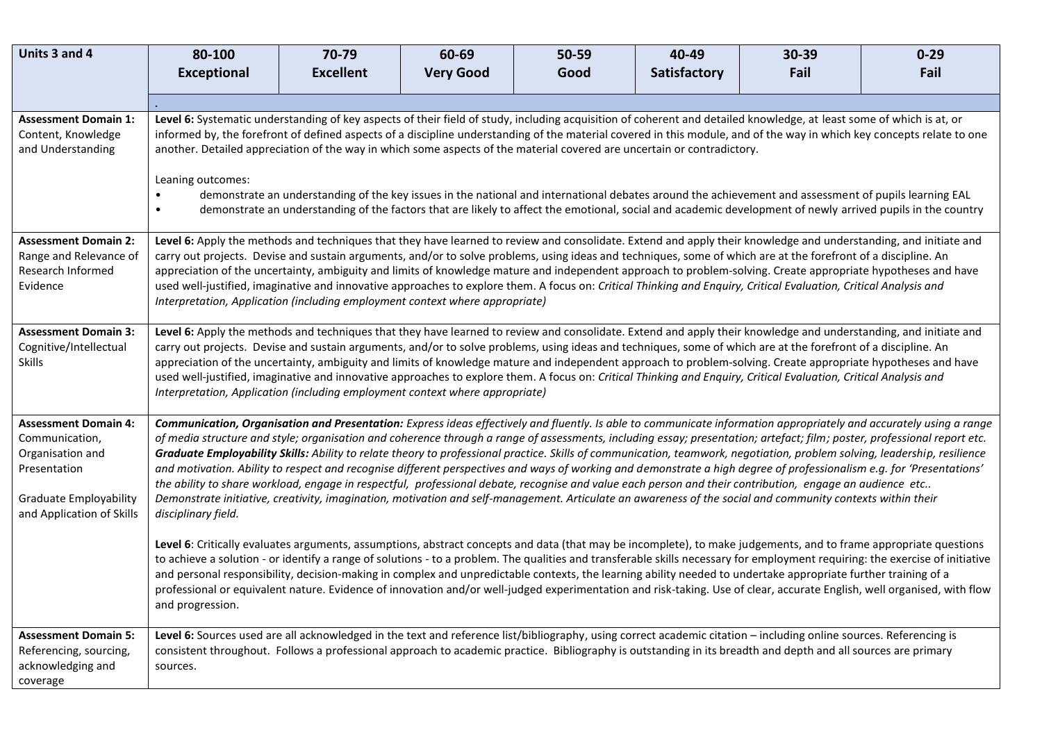| Units 3 and 4                                                                                                                                   | 80-100                                                                                                                                                                                                                                                                                                                                                                                                                                                                                                                                                                                                                                                                                                                                                                                                                                                                                                                                                                                                                                                                                                                                                                                                                      | 70-79            | 60-69            | 50-59 | 40-49        | 30-39 | $0 - 29$ |
|-------------------------------------------------------------------------------------------------------------------------------------------------|-----------------------------------------------------------------------------------------------------------------------------------------------------------------------------------------------------------------------------------------------------------------------------------------------------------------------------------------------------------------------------------------------------------------------------------------------------------------------------------------------------------------------------------------------------------------------------------------------------------------------------------------------------------------------------------------------------------------------------------------------------------------------------------------------------------------------------------------------------------------------------------------------------------------------------------------------------------------------------------------------------------------------------------------------------------------------------------------------------------------------------------------------------------------------------------------------------------------------------|------------------|------------------|-------|--------------|-------|----------|
|                                                                                                                                                 | <b>Exceptional</b>                                                                                                                                                                                                                                                                                                                                                                                                                                                                                                                                                                                                                                                                                                                                                                                                                                                                                                                                                                                                                                                                                                                                                                                                          | <b>Excellent</b> | <b>Very Good</b> | Good  | Satisfactory | Fail  | Fail     |
|                                                                                                                                                 |                                                                                                                                                                                                                                                                                                                                                                                                                                                                                                                                                                                                                                                                                                                                                                                                                                                                                                                                                                                                                                                                                                                                                                                                                             |                  |                  |       |              |       |          |
| <b>Assessment Domain 1:</b><br>Content, Knowledge<br>and Understanding                                                                          | Level 6: Systematic understanding of key aspects of their field of study, including acquisition of coherent and detailed knowledge, at least some of which is at, or<br>informed by, the forefront of defined aspects of a discipline understanding of the material covered in this module, and of the way in which key concepts relate to one<br>another. Detailed appreciation of the way in which some aspects of the material covered are uncertain or contradictory.<br>Leaning outcomes:<br>demonstrate an understanding of the key issues in the national and international debates around the achievement and assessment of pupils learning EAL<br>demonstrate an understanding of the factors that are likely to affect the emotional, social and academic development of newly arrived pupils in the country                                                                                                                                                                                                                                                                                                                                                                                                      |                  |                  |       |              |       |          |
| <b>Assessment Domain 2:</b><br>Range and Relevance of<br>Research Informed<br>Evidence                                                          | Level 6: Apply the methods and techniques that they have learned to review and consolidate. Extend and apply their knowledge and understanding, and initiate and<br>carry out projects. Devise and sustain arguments, and/or to solve problems, using ideas and techniques, some of which are at the forefront of a discipline. An<br>appreciation of the uncertainty, ambiguity and limits of knowledge mature and independent approach to problem-solving. Create appropriate hypotheses and have<br>used well-justified, imaginative and innovative approaches to explore them. A focus on: Critical Thinking and Enquiry, Critical Evaluation, Critical Analysis and<br>Interpretation, Application (including employment context where appropriate)                                                                                                                                                                                                                                                                                                                                                                                                                                                                    |                  |                  |       |              |       |          |
| <b>Assessment Domain 3:</b><br>Cognitive/Intellectual<br><b>Skills</b>                                                                          | Level 6: Apply the methods and techniques that they have learned to review and consolidate. Extend and apply their knowledge and understanding, and initiate and<br>carry out projects. Devise and sustain arguments, and/or to solve problems, using ideas and techniques, some of which are at the forefront of a discipline. An<br>appreciation of the uncertainty, ambiguity and limits of knowledge mature and independent approach to problem-solving. Create appropriate hypotheses and have<br>used well-justified, imaginative and innovative approaches to explore them. A focus on: Critical Thinking and Enquiry, Critical Evaluation, Critical Analysis and<br>Interpretation, Application (including employment context where appropriate)                                                                                                                                                                                                                                                                                                                                                                                                                                                                    |                  |                  |       |              |       |          |
| <b>Assessment Domain 4:</b><br>Communication,<br>Organisation and<br>Presentation<br><b>Graduate Employability</b><br>and Application of Skills | Communication, Organisation and Presentation: Express ideas effectively and fluently. Is able to communicate information appropriately and accurately using a range<br>of media structure and style; organisation and coherence through a range of assessments, including essay; presentation; artefact; film; poster, professional report etc.<br>Graduate Employability Skills: Ability to relate theory to professional practice. Skills of communication, teamwork, negotiation, problem solving, leadership, resilience<br>and motivation. Ability to respect and recognise different perspectives and ways of working and demonstrate a high degree of professionalism e.g. for 'Presentations'<br>the ability to share workload, engage in respectful, professional debate, recognise and value each person and their contribution, engage an audience etc<br>Demonstrate initiative, creativity, imagination, motivation and self-management. Articulate an awareness of the social and community contexts within their<br>disciplinary field.<br>Level 6: Critically evaluates arguments, assumptions, abstract concepts and data (that may be incomplete), to make judgements, and to frame appropriate questions |                  |                  |       |              |       |          |
|                                                                                                                                                 | to achieve a solution - or identify a range of solutions - to a problem. The qualities and transferable skills necessary for employment requiring: the exercise of initiative<br>and personal responsibility, decision-making in complex and unpredictable contexts, the learning ability needed to undertake appropriate further training of a<br>professional or equivalent nature. Evidence of innovation and/or well-judged experimentation and risk-taking. Use of clear, accurate English, well organised, with flow<br>and progression.                                                                                                                                                                                                                                                                                                                                                                                                                                                                                                                                                                                                                                                                              |                  |                  |       |              |       |          |
| <b>Assessment Domain 5:</b><br>Referencing, sourcing,<br>acknowledging and<br>coverage                                                          | Level 6: Sources used are all acknowledged in the text and reference list/bibliography, using correct academic citation - including online sources. Referencing is<br>consistent throughout. Follows a professional approach to academic practice. Bibliography is outstanding in its breadth and depth and all sources are primary<br>sources.                                                                                                                                                                                                                                                                                                                                                                                                                                                                                                                                                                                                                                                                                                                                                                                                                                                                             |                  |                  |       |              |       |          |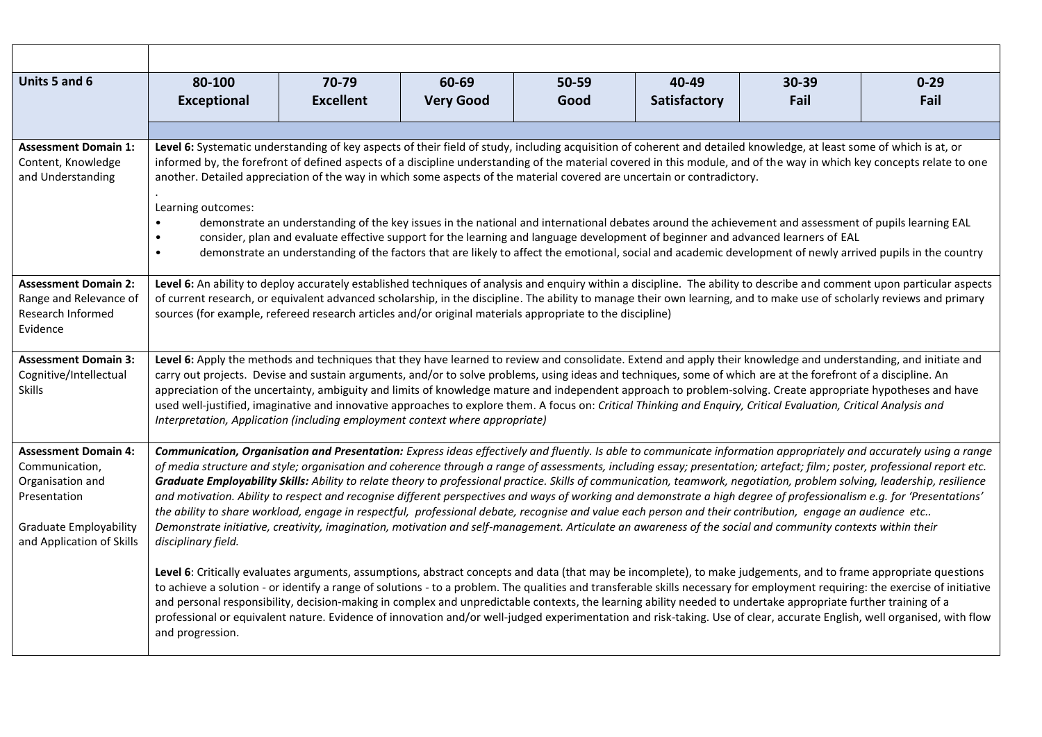| Units 5 and 6                                                                                                                                                                                                                                                                                                                                                                                                                                                                      | 80-100                                                                                                                                                                                                                                                                                                                                                                                                                                                                                                                                                                                                                                                                                                                                                   | 70-79            | 60-69            | 50-59 | 40-49        | 30-39                                                                                                                                                                                                                                                                                                                  | $0 - 29$                                                                                                                                                                                                                                                                                                                                                                                                                                                                                                                                                                                                                                                                                              |  |
|------------------------------------------------------------------------------------------------------------------------------------------------------------------------------------------------------------------------------------------------------------------------------------------------------------------------------------------------------------------------------------------------------------------------------------------------------------------------------------|----------------------------------------------------------------------------------------------------------------------------------------------------------------------------------------------------------------------------------------------------------------------------------------------------------------------------------------------------------------------------------------------------------------------------------------------------------------------------------------------------------------------------------------------------------------------------------------------------------------------------------------------------------------------------------------------------------------------------------------------------------|------------------|------------------|-------|--------------|------------------------------------------------------------------------------------------------------------------------------------------------------------------------------------------------------------------------------------------------------------------------------------------------------------------------|-------------------------------------------------------------------------------------------------------------------------------------------------------------------------------------------------------------------------------------------------------------------------------------------------------------------------------------------------------------------------------------------------------------------------------------------------------------------------------------------------------------------------------------------------------------------------------------------------------------------------------------------------------------------------------------------------------|--|
|                                                                                                                                                                                                                                                                                                                                                                                                                                                                                    | <b>Exceptional</b>                                                                                                                                                                                                                                                                                                                                                                                                                                                                                                                                                                                                                                                                                                                                       | <b>Excellent</b> | <b>Very Good</b> | Good  | Satisfactory | Fail                                                                                                                                                                                                                                                                                                                   | Fail                                                                                                                                                                                                                                                                                                                                                                                                                                                                                                                                                                                                                                                                                                  |  |
|                                                                                                                                                                                                                                                                                                                                                                                                                                                                                    |                                                                                                                                                                                                                                                                                                                                                                                                                                                                                                                                                                                                                                                                                                                                                          |                  |                  |       |              |                                                                                                                                                                                                                                                                                                                        |                                                                                                                                                                                                                                                                                                                                                                                                                                                                                                                                                                                                                                                                                                       |  |
| <b>Assessment Domain 1:</b><br>Content, Knowledge<br>and Understanding                                                                                                                                                                                                                                                                                                                                                                                                             | Level 6: Systematic understanding of key aspects of their field of study, including acquisition of coherent and detailed knowledge, at least some of which is at, or<br>informed by, the forefront of defined aspects of a discipline understanding of the material covered in this module, and of the way in which key concepts relate to one<br>another. Detailed appreciation of the way in which some aspects of the material covered are uncertain or contradictory.<br>Learning outcomes:                                                                                                                                                                                                                                                          |                  |                  |       |              |                                                                                                                                                                                                                                                                                                                        |                                                                                                                                                                                                                                                                                                                                                                                                                                                                                                                                                                                                                                                                                                       |  |
| demonstrate an understanding of the key issues in the national and international debates around the achievement and assessment of pupils learning EAL<br>consider, plan and evaluate effective support for the learning and language development of beginner and advanced learners of EAL<br>$\bullet$<br>demonstrate an understanding of the factors that are likely to affect the emotional, social and academic development of newly arrived pupils in the country<br>$\bullet$ |                                                                                                                                                                                                                                                                                                                                                                                                                                                                                                                                                                                                                                                                                                                                                          |                  |                  |       |              |                                                                                                                                                                                                                                                                                                                        |                                                                                                                                                                                                                                                                                                                                                                                                                                                                                                                                                                                                                                                                                                       |  |
| <b>Assessment Domain 2:</b><br>Range and Relevance of<br>Research Informed<br>Evidence                                                                                                                                                                                                                                                                                                                                                                                             | Level 6: An ability to deploy accurately established techniques of analysis and enquiry within a discipline. The ability to describe and comment upon particular aspects<br>of current research, or equivalent advanced scholarship, in the discipline. The ability to manage their own learning, and to make use of scholarly reviews and primary<br>sources (for example, refereed research articles and/or original materials appropriate to the discipline)                                                                                                                                                                                                                                                                                          |                  |                  |       |              |                                                                                                                                                                                                                                                                                                                        |                                                                                                                                                                                                                                                                                                                                                                                                                                                                                                                                                                                                                                                                                                       |  |
| <b>Assessment Domain 3:</b><br>Cognitive/Intellectual<br>Skills                                                                                                                                                                                                                                                                                                                                                                                                                    | Level 6: Apply the methods and techniques that they have learned to review and consolidate. Extend and apply their knowledge and understanding, and initiate and<br>carry out projects. Devise and sustain arguments, and/or to solve problems, using ideas and techniques, some of which are at the forefront of a discipline. An<br>appreciation of the uncertainty, ambiguity and limits of knowledge mature and independent approach to problem-solving. Create appropriate hypotheses and have<br>used well-justified, imaginative and innovative approaches to explore them. A focus on: Critical Thinking and Enquiry, Critical Evaluation, Critical Analysis and<br>Interpretation, Application (including employment context where appropriate) |                  |                  |       |              |                                                                                                                                                                                                                                                                                                                        |                                                                                                                                                                                                                                                                                                                                                                                                                                                                                                                                                                                                                                                                                                       |  |
| <b>Assessment Domain 4:</b><br>Communication,<br>Organisation and<br>Presentation<br><b>Graduate Employability</b><br>and Application of Skills<br>disciplinary field.                                                                                                                                                                                                                                                                                                             |                                                                                                                                                                                                                                                                                                                                                                                                                                                                                                                                                                                                                                                                                                                                                          |                  |                  |       |              | the ability to share workload, engage in respectful, professional debate, recognise and value each person and their contribution, engage an audience etc<br>Demonstrate initiative, creativity, imagination, motivation and self-management. Articulate an awareness of the social and community contexts within their | Communication, Organisation and Presentation: Express ideas effectively and fluently. Is able to communicate information appropriately and accurately using a range<br>of media structure and style; organisation and coherence through a range of assessments, including essay; presentation; artefact; film; poster, professional report etc.<br>Graduate Employability Skills: Ability to relate theory to professional practice. Skills of communication, teamwork, negotiation, problem solving, leadership, resilience<br>and motivation. Ability to respect and recognise different perspectives and ways of working and demonstrate a high degree of professionalism e.g. for 'Presentations' |  |
|                                                                                                                                                                                                                                                                                                                                                                                                                                                                                    | Level 6: Critically evaluates arguments, assumptions, abstract concepts and data (that may be incomplete), to make judgements, and to frame appropriate questions<br>and personal responsibility, decision-making in complex and unpredictable contexts, the learning ability needed to undertake appropriate further training of a<br>and progression.                                                                                                                                                                                                                                                                                                                                                                                                  |                  |                  |       |              |                                                                                                                                                                                                                                                                                                                        | to achieve a solution - or identify a range of solutions - to a problem. The qualities and transferable skills necessary for employment requiring: the exercise of initiative<br>professional or equivalent nature. Evidence of innovation and/or well-judged experimentation and risk-taking. Use of clear, accurate English, well organised, with flow                                                                                                                                                                                                                                                                                                                                              |  |